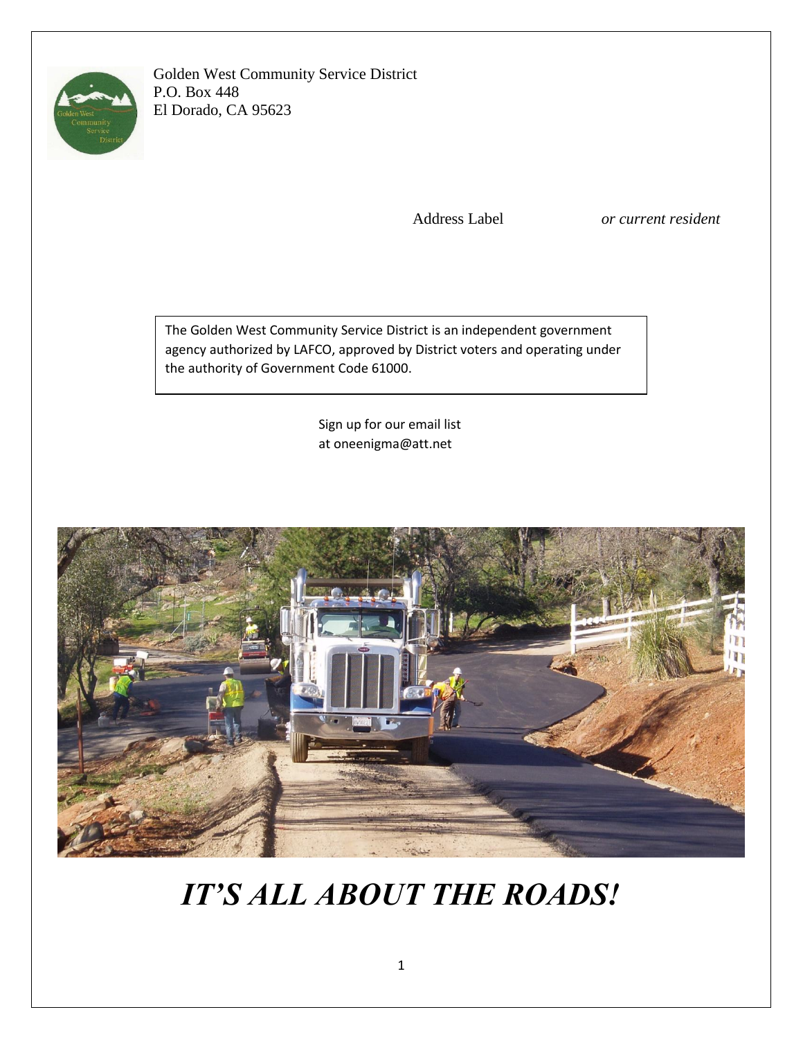

Golden West Community Service District P.O. Box 448 El Dorado, CA 95623

Address Label *or current resident*

The Golden West Community Service District is an independent government agency authorized by LAFCO, approved by District voters and operating under the authority of Government Code 61000.

> Sign up for our email list at oneenigma@att.net



# *IT'S ALL ABOUT THE ROADS!*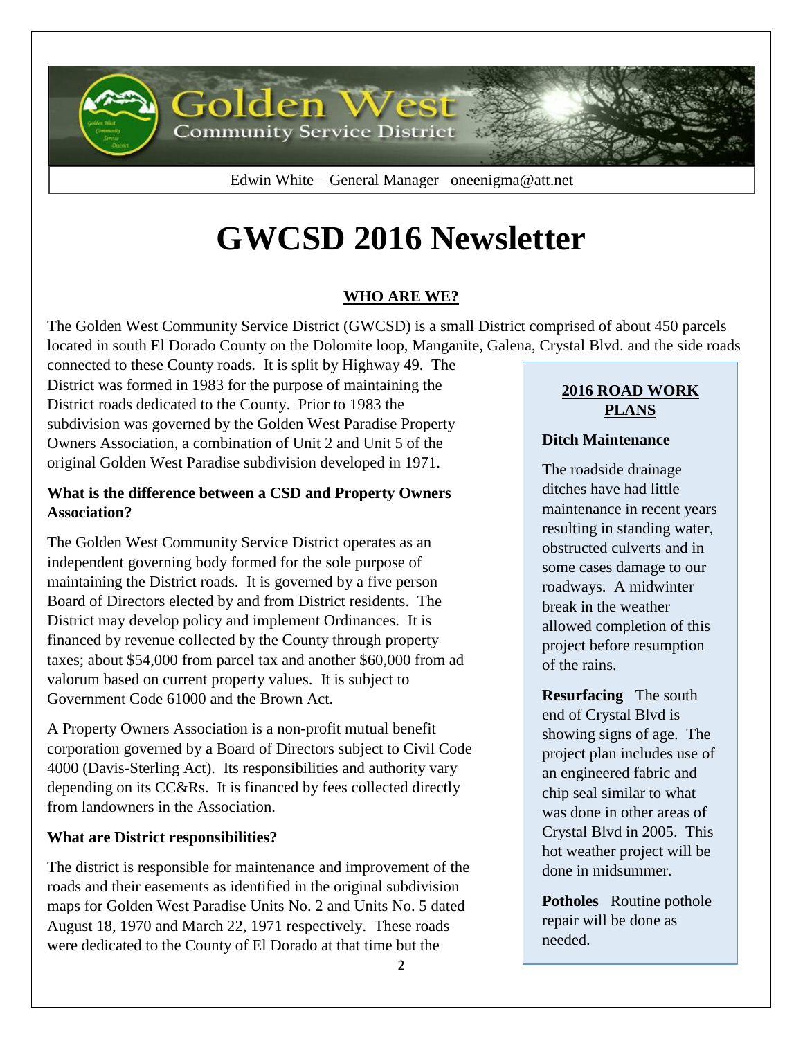

Edwin White – General Manager oneenigma@att.net

# **GWCSD 2016 Newsletter**

## **WHO ARE WE?**

The Golden West Community Service District (GWCSD) is a small District comprised of about 450 parcels located in south El Dorado County on the Dolomite loop, Manganite, Galena, Crystal Blvd. and the side roads

connected to these County roads. It is split by Highway 49. The District was formed in 1983 for the purpose of maintaining the District roads dedicated to the County. Prior to 1983 the subdivision was governed by the Golden West Paradise Property Owners Association, a combination of Unit 2 and Unit 5 of the original Golden West Paradise subdivision developed in 1971.

#### **What is the difference between a CSD and Property Owners Association?**

The Golden West Community Service District operates as an independent governing body formed for the sole purpose of maintaining the District roads. It is governed by a five person Board of Directors elected by and from District residents. The District may develop policy and implement Ordinances. It is financed by revenue collected by the County through property taxes; about \$54,000 from parcel tax and another \$60,000 from ad valorum based on current property values. It is subject to Government Code 61000 and the Brown Act.

A Property Owners Association is a non-profit mutual benefit corporation governed by a Board of Directors subject to Civil Code 4000 (Davis-Sterling Act). Its responsibilities and authority vary depending on its CC&Rs. It is financed by fees collected directly from landowners in the Association.

#### **What are District responsibilities?**

The district is responsible for maintenance and improvement of the roads and their easements as identified in the original subdivision maps for Golden West Paradise Units No. 2 and Units No. 5 dated August 18, 1970 and March 22, 1971 respectively. These roads were dedicated to the County of El Dorado at that time but the

#### **2016 ROAD WORK PLANS**

#### **Ditch Maintenance**

The roadside drainage ditches have had little maintenance in recent years resulting in standing water, obstructed culverts and in some cases damage to our roadways. A midwinter break in the weather allowed completion of this project before resumption of the rains.

**Resurfacing** The south end of Crystal Blvd is showing signs of age. The project plan includes use of an engineered fabric and chip seal similar to what was done in other areas of Crystal Blvd in 2005. This hot weather project will be done in midsummer.

**Potholes** Routine pothole repair will be done as needed.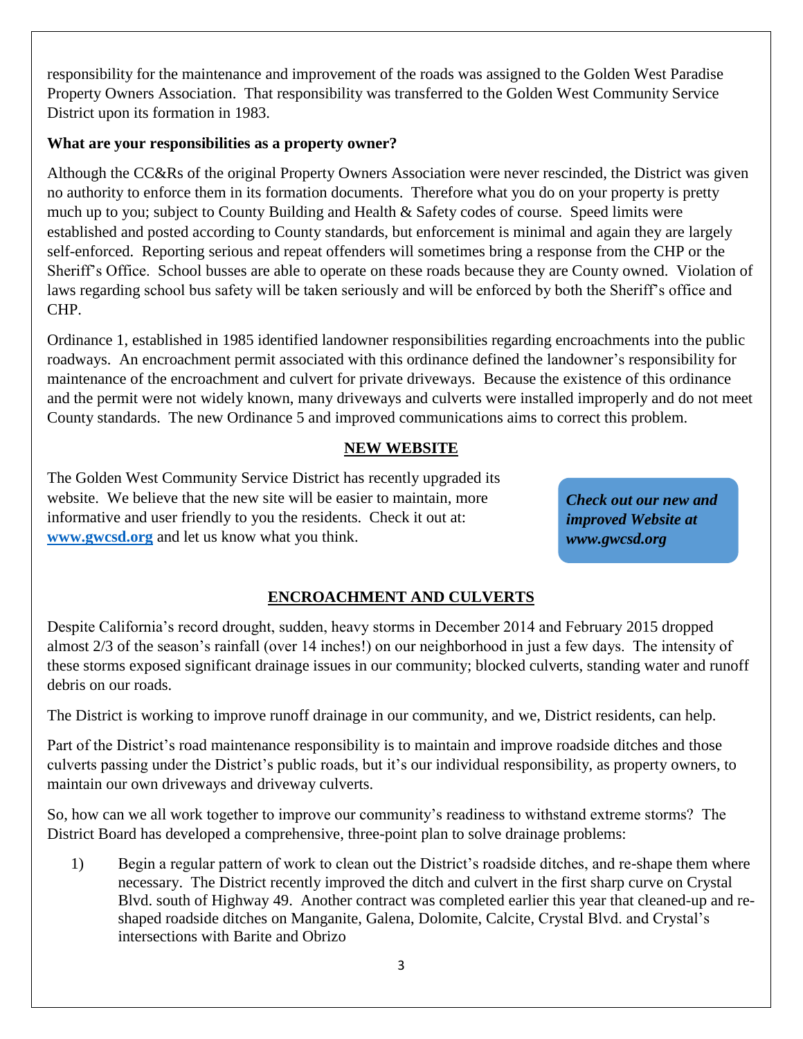responsibility for the maintenance and improvement of the roads was assigned to the Golden West Paradise Property Owners Association. That responsibility was transferred to the Golden West Community Service District upon its formation in 1983.

#### **What are your responsibilities as a property owner?**

Although the CC&Rs of the original Property Owners Association were never rescinded, the District was given no authority to enforce them in its formation documents. Therefore what you do on your property is pretty much up to you; subject to County Building and Health & Safety codes of course. Speed limits were established and posted according to County standards, but enforcement is minimal and again they are largely self-enforced. Reporting serious and repeat offenders will sometimes bring a response from the CHP or the Sheriff's Office. School busses are able to operate on these roads because they are County owned. Violation of laws regarding school bus safety will be taken seriously and will be enforced by both the Sheriff's office and CHP.

Ordinance 1, established in 1985 identified landowner responsibilities regarding encroachments into the public roadways. An encroachment permit associated with this ordinance defined the landowner's responsibility for maintenance of the encroachment and culvert for private driveways. Because the existence of this ordinance and the permit were not widely known, many driveways and culverts were installed improperly and do not meet County standards. The new Ordinance 5 and improved communications aims to correct this problem.

#### **NEW WEBSITE**

The Golden West Community Service District has recently upgraded its website. We believe that the new site will be easier to maintain, more informative and user friendly to you the residents. Check it out at: **[www.gwcsd.org](http://www.gwcsd.org/)** and let us know what you think.

*Check out our new and improved Website at www.gwcsd.org*

### **ENCROACHMENT AND CULVERTS**

Despite California's record drought, sudden, heavy storms in December 2014 and February 2015 dropped almost 2/3 of the season's rainfall (over 14 inches!) on our neighborhood in just a few days. The intensity of these storms exposed significant drainage issues in our community; blocked culverts, standing water and runoff debris on our roads.

The District is working to improve runoff drainage in our community, and we, District residents, can help.

Part of the District's road maintenance responsibility is to maintain and improve roadside ditches and those culverts passing under the District's public roads, but it's our individual responsibility, as property owners, to maintain our own driveways and driveway culverts.

So, how can we all work together to improve our community's readiness to withstand extreme storms? The District Board has developed a comprehensive, three-point plan to solve drainage problems:

1) Begin a regular pattern of work to clean out the District's roadside ditches, and re-shape them where necessary. The District recently improved the ditch and culvert in the first sharp curve on Crystal Blvd. south of Highway 49. Another contract was completed earlier this year that cleaned-up and reshaped roadside ditches on Manganite, Galena, Dolomite, Calcite, Crystal Blvd. and Crystal's intersections with Barite and Obrizo